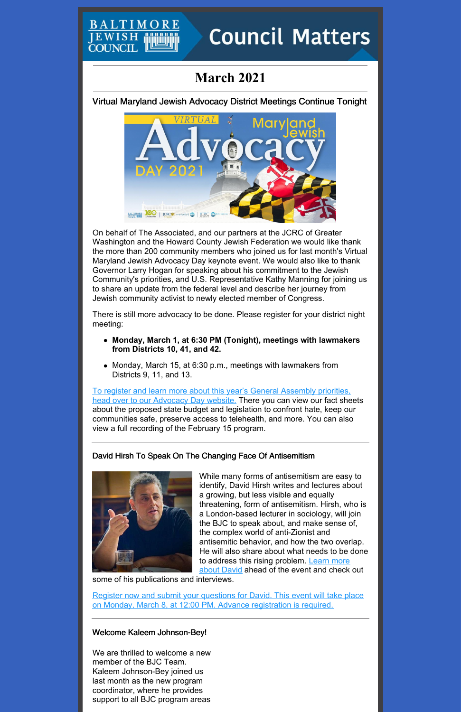# **Council Matters**

# **March 2021**

**IEWISH COUNCI** 

Virtual Maryland Jewish Advocacy District Meetings Continue Tonight



On behalf of The Associated, and our partners at the JCRC of Greater Washington and the Howard County Jewish Federation we would like thank the more than 200 community members who joined us for last month's Virtual Maryland Jewish Advocacy Day keynote event. We would also like to thank Governor Larry Hogan for speaking about his commitment to the Jewish Community's priorities, and U.S. Representative Kathy Manning for joining us to share an update from the federal level and describe her journey from Jewish community activist to newly elected member of Congress.

There is still more advocacy to be done. Please register for your district night meeting:

- **Monday, March 1, at 6:30 PM (Tonight), meetings with lawmakers from Districts 10, 41, and 42.**
- Monday, March 15, at 6:30 p.m., meetings with lawmakers from Districts 9, 11, and 13.

To register and learn more about this year's General [Assembly](https://www.baltjc.org/what-we-do/government-relations/advocacy-day/) priorities, head over to our Advocacy Day website. There you can view our fact sheets about the proposed state budget and legislation to confront hate, keep our communities safe, preserve access to telehealth, and more. You can also view a full recording of the February 15 program.

# David Hirsh To Speak On The Changing Face Of Antisemitism



While many forms of antisemitism are easy to identify, David Hirsh writes and lectures about a growing, but less visible and equally threatening, form of antisemitism. Hirsh, who is a London-based lecturer in sociology, will join the BJC to speak about, and make sense of, the complex world of anti-Zionist and antisemitic behavior, and how the two overlap. He will also share about what needs to be done to address this rising [problem.](https://www.gold.ac.uk/sociology/staff/hirsh/) Learn more about David ahead of the event and check out

some of his publications and interviews.

Register now and submit your questions for David. This event will take place on Monday, March 8, at 12:00 PM. Advance [registration](https://jcfb.zoom.us/webinar/register/WN_GJTS0GuNTf-jllqYhZxQqw) is required.

Welcome Kaleem Johnson-Bey!

We are thrilled to welcome a new member of the BJC Team. Kaleem Johnson-Bey joined us last month as the new program coordinator, where he provides support to all BJC program areas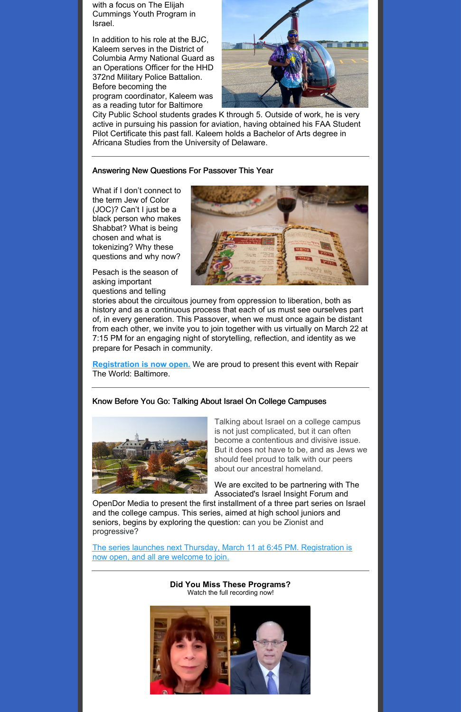with a focus on The Elijah Cummings Youth Program in Israel.

In addition to his role at the BJC, Kaleem serves in the District of Columbia Army National Guard as an Operations Officer for the HHD 372nd Military Police Battalion. Before becoming the program coordinator, Kaleem was as a reading tutor for Baltimore



City Public School students grades K through 5. Outside of work, he is very active in pursuing his passion for aviation, having obtained his FAA Student Pilot Certificate this past fall. Kaleem holds a Bachelor of Arts degree in Africana Studies from the University of Delaware.

### Answering New Questions For Passover This Year

What if I don't connect to the term Jew of Color (JOC)? Can't I just be a black person who makes Shabbat? What is being chosen and what is tokenizing? Why these questions and why now?

Pesach is the season of asking important questions and telling



stories about the circuitous journey from oppression to liberation, both as history and as a continuous process that each of us must see ourselves part of, in every generation. This Passover, when we must once again be distant from each other, we invite you to join together with us virtually on March 22 at 7:15 PM for an engaging night of storytelling, reflection, and identity as we prepare for Pesach in community.

**[Registration](https://jcfb.zoom.us/meeting/register/tJMucO-rqTMqHtCIpZOqPRoQSK7VXnTNuOjT) is now open.** We are proud to present this event with Repair The World: Baltimore.

# Know Before You Go: Talking About Israel On College Campuses



Talking about Israel on a college campus is not just complicated, but it can often become a contentious and divisive issue. But it does not have to be, and as Jews we should feel proud to talk with our peers about our ancestral homeland.

We are excited to be partnering with The Associated's Israel Insight Forum and

OpenDor Media to present the first installment of a three part series on Israel and the college campus. This series, aimed at high school juniors and seniors, begins by exploring the question: can you be Zionist and progressive?

The series launches next Thursday, March 11 at 6:45 PM. [Registration](https://associated.org/event/the-israeli-palestinian-context-navigating-the-realities-of-being-jewish-on-campus/) is now open, and all are welcome to join.

# **Did You Miss These Programs?**

Watch the full recording now!